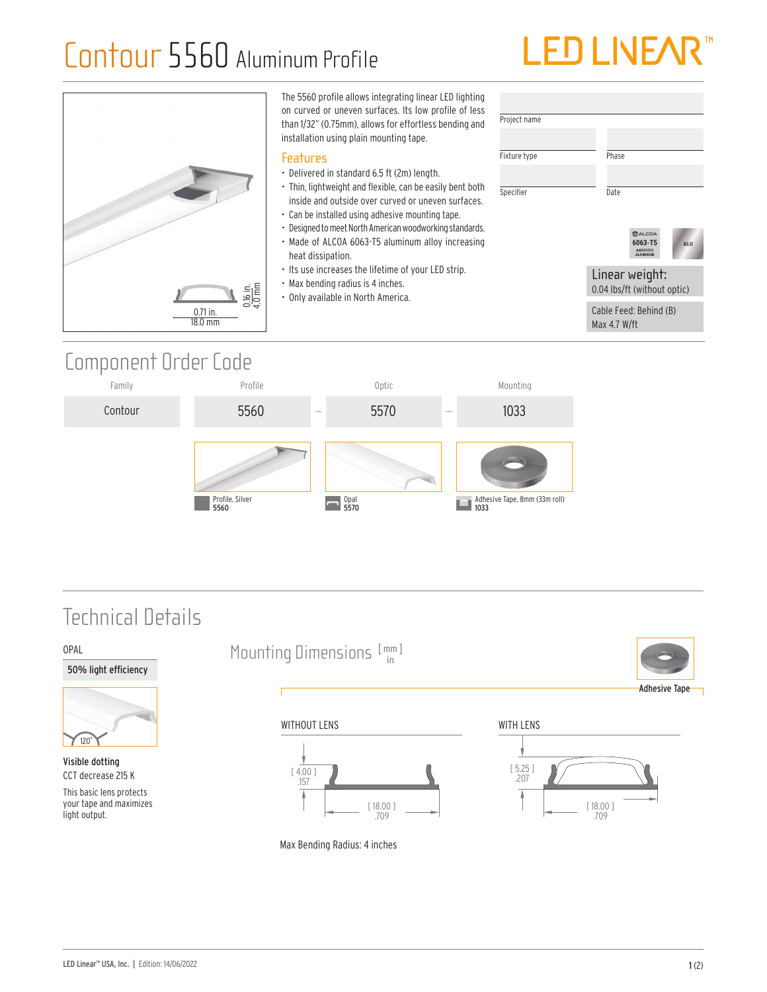# Contour 5560 Aluminum Profile



| $\frac{0.16 \text{ in.}}{4.0 \text{ mm}}$<br>$0.71$ in.<br>18.0 mm | The 5560 profile allows integrating linear LED lighting<br>on curved or uneven surfaces. Its low profile of less<br>than 1/32" (0.75mm), allows for effortless bending and<br>installation using plain mounting tape.                                                                                                                                                                                                                                                                                         | Project name              |                                                                                         |
|--------------------------------------------------------------------|---------------------------------------------------------------------------------------------------------------------------------------------------------------------------------------------------------------------------------------------------------------------------------------------------------------------------------------------------------------------------------------------------------------------------------------------------------------------------------------------------------------|---------------------------|-----------------------------------------------------------------------------------------|
|                                                                    | <b>Features</b><br>• Delivered in standard 6.5 ft (2m) length.<br>• Thin, lightweight and flexible, can be easily bent both<br>inside and outside over curved or uneven surfaces.<br>• Can be installed using adhesive mounting tape.<br>• Designed to meet North American woodworking standards.<br>• Made of ALCOA 6063-T5 aluminum alloy increasing<br>heat dissipation.<br>• Its use increases the lifetime of your LED strip.<br>• Max bending radius is 4 inches.<br>• Only available in North America. | Fixture type<br>Specifier | Phase<br>Date<br>$2$ ALCOA<br>6063-T5<br>ALU<br>ANODIZED<br><b>ALUMINUM</b>             |
|                                                                    |                                                                                                                                                                                                                                                                                                                                                                                                                                                                                                               |                           | Linear weight:<br>0.04 lbs/ft (without optic)<br>Cable Feed: Behind (B)<br>Max 4.7 W/ft |

## Component Order Code



## Technical Details



Visible dotting CCT decrease 215 K

OPAL

This basic lens protects your tape and maximizes light output.